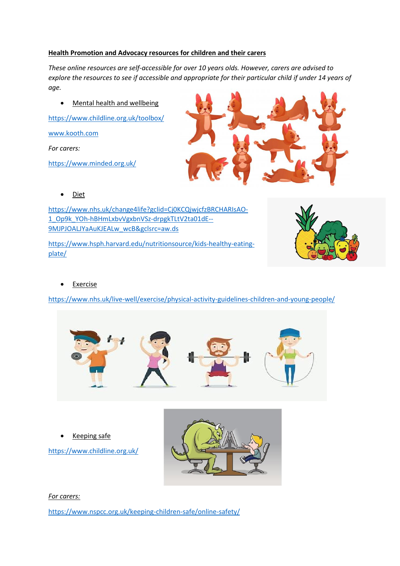#### **Health Promotion and Advocacy resources for children and their carers**

*These online resources are self-accessible for over 10 years olds. However, carers are advised to explore the resources to see if accessible and appropriate for their particular child if under 14 years of age.*

Mental health and wellbeing

<https://www.childline.org.uk/toolbox/> [www.kooth.com](http://www.kooth.com/) *For carers:*

<https://www.minded.org.uk/>



• Diet

[https://www.nhs.uk/change4life?gclid=Cj0KCQjwjcfzBRCHARIsAO-](https://www.nhs.uk/change4life?gclid=Cj0KCQjwjcfzBRCHARIsAO-1_Op9k_YOh-hBHmLxbvVgxbnVSz-drpgkTLtV2ta01dE--9MJPJOALJYaAuKJEALw_wcB&gclsrc=aw.ds)[1\\_Op9k\\_YOh-hBHmLxbvVgxbnVSz-drpgkTLtV2ta01dE--](https://www.nhs.uk/change4life?gclid=Cj0KCQjwjcfzBRCHARIsAO-1_Op9k_YOh-hBHmLxbvVgxbnVSz-drpgkTLtV2ta01dE--9MJPJOALJYaAuKJEALw_wcB&gclsrc=aw.ds) [9MJPJOALJYaAuKJEALw\\_wcB&gclsrc=aw.ds](https://www.nhs.uk/change4life?gclid=Cj0KCQjwjcfzBRCHARIsAO-1_Op9k_YOh-hBHmLxbvVgxbnVSz-drpgkTLtV2ta01dE--9MJPJOALJYaAuKJEALw_wcB&gclsrc=aw.ds)

[https://www.hsph.harvard.edu/nutritionsource/kids-healthy-eating](https://www.hsph.harvard.edu/nutritionsource/kids-healthy-eating-plate/)[plate/](https://www.hsph.harvard.edu/nutritionsource/kids-healthy-eating-plate/)



Exercise

<https://www.nhs.uk/live-well/exercise/physical-activity-guidelines-children-and-young-people/>



Keeping safe

<https://www.childline.org.uk/>



*For carers:*

<https://www.nspcc.org.uk/keeping-children-safe/online-safety/>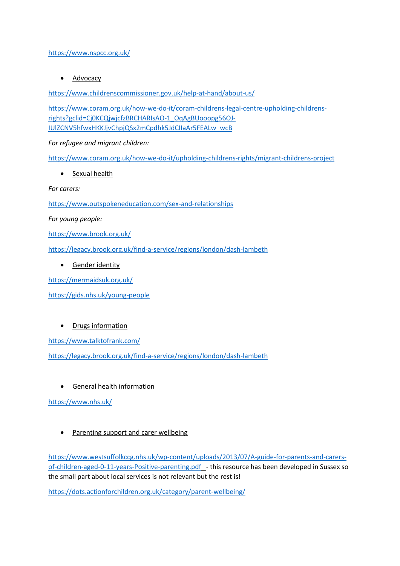<https://www.nspcc.org.uk/>

• Advocacy

<https://www.childrenscommissioner.gov.uk/help-at-hand/about-us/>

[https://www.coram.org.uk/how-we-do-it/coram-childrens-legal-centre-upholding-childrens](https://www.coram.org.uk/how-we-do-it/coram-childrens-legal-centre-upholding-childrens-rights?gclid=Cj0KCQjwjcfzBRCHARIsAO-1_OqAgBUooopg56OJ-IUlZCNV5hfwxHKKJjvChpjQSx2mCpdhk5JdCIIaAr5FEALw_wcB)[rights?gclid=Cj0KCQjwjcfzBRCHARIsAO-1\\_OqAgBUooopg56OJ-](https://www.coram.org.uk/how-we-do-it/coram-childrens-legal-centre-upholding-childrens-rights?gclid=Cj0KCQjwjcfzBRCHARIsAO-1_OqAgBUooopg56OJ-IUlZCNV5hfwxHKKJjvChpjQSx2mCpdhk5JdCIIaAr5FEALw_wcB)[IUlZCNV5hfwxHKKJjvChpjQSx2mCpdhk5JdCIIaAr5FEALw\\_wcB](https://www.coram.org.uk/how-we-do-it/coram-childrens-legal-centre-upholding-childrens-rights?gclid=Cj0KCQjwjcfzBRCHARIsAO-1_OqAgBUooopg56OJ-IUlZCNV5hfwxHKKJjvChpjQSx2mCpdhk5JdCIIaAr5FEALw_wcB)

#### *For refugee and migrant children:*

<https://www.coram.org.uk/how-we-do-it/upholding-childrens-rights/migrant-childrens-project>

• Sexual health

*For carers:*

<https://www.outspokeneducation.com/sex-and-relationships>

*For young people:*

<https://www.brook.org.uk/>

<https://legacy.brook.org.uk/find-a-service/regions/london/dash-lambeth>

Gender identity

<https://mermaidsuk.org.uk/>

<https://gids.nhs.uk/young-people>

### • Drugs information

<https://www.talktofrank.com/>

<https://legacy.brook.org.uk/find-a-service/regions/london/dash-lambeth>

### General health information

<https://www.nhs.uk/>

### • Parenting support and carer wellbeing

[https://www.westsuffolkccg.nhs.uk/wp-content/uploads/2013/07/A-guide-for-parents-and-carers](https://www.westsuffolkccg.nhs.uk/wp-content/uploads/2013/07/A-guide-for-parents-and-carers-of-children-aged-0-11-years-Positive-parenting.pdf)[of-children-aged-0-11-years-Positive-parenting.pdf](https://www.westsuffolkccg.nhs.uk/wp-content/uploads/2013/07/A-guide-for-parents-and-carers-of-children-aged-0-11-years-Positive-parenting.pdf) - this resource has been developed in Sussex so the small part about local services is not relevant but the rest is!

<https://dots.actionforchildren.org.uk/category/parent-wellbeing/>